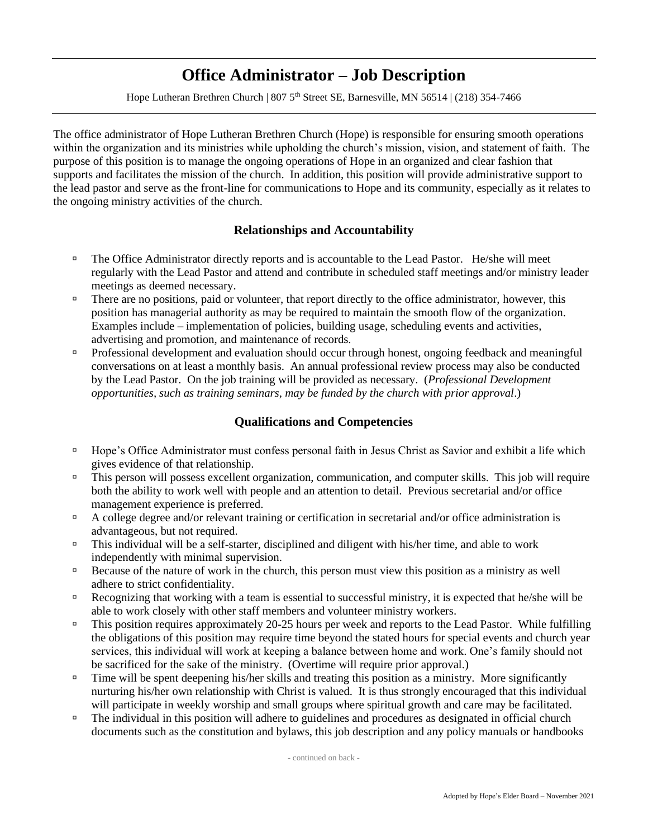# **Office Administrator – Job Description**

Hope Lutheran Brethren Church | 807 5<sup>th</sup> Street SE, Barnesville, MN 56514 | (218) 354-7466

The office administrator of Hope Lutheran Brethren Church (Hope) is responsible for ensuring smooth operations within the organization and its ministries while upholding the church's mission, vision, and statement of faith. The purpose of this position is to manage the ongoing operations of Hope in an organized and clear fashion that supports and facilitates the mission of the church. In addition, this position will provide administrative support to the lead pastor and serve as the front-line for communications to Hope and its community, especially as it relates to the ongoing ministry activities of the church.

#### **Relationships and Accountability**

- <sup>In</sup> The Office Administrator directly reports and is accountable to the Lead Pastor. He/she will meet regularly with the Lead Pastor and attend and contribute in scheduled staff meetings and/or ministry leader meetings as deemed necessary.
- There are no positions, paid or volunteer, that report directly to the office administrator, however, this position has managerial authority as may be required to maintain the smooth flow of the organization. Examples include – implementation of policies, building usage, scheduling events and activities, advertising and promotion, and maintenance of records.
- Professional development and evaluation should occur through honest, ongoing feedback and meaningful conversations on at least a monthly basis. An annual professional review process may also be conducted by the Lead Pastor. On the job training will be provided as necessary. (*Professional Development opportunities, such as training seminars, may be funded by the church with prior approval*.)

## **Qualifications and Competencies**

- <sup>n</sup> Hope's Office Administrator must confess personal faith in Jesus Christ as Savior and exhibit a life which gives evidence of that relationship.
- This person will possess excellent organization, communication, and computer skills. This job will require both the ability to work well with people and an attention to detail. Previous secretarial and/or office management experience is preferred.
- A college degree and/or relevant training or certification in secretarial and/or office administration is advantageous, but not required.
- This individual will be a self-starter, disciplined and diligent with his/her time, and able to work independently with minimal supervision.
- $\Box$  Because of the nature of work in the church, this person must view this position as a ministry as well adhere to strict confidentiality.
- Recognizing that working with a team is essential to successful ministry, it is expected that he/she will be able to work closely with other staff members and volunteer ministry workers.
- This position requires approximately 20-25 hours per week and reports to the Lead Pastor. While fulfilling the obligations of this position may require time beyond the stated hours for special events and church year services, this individual will work at keeping a balance between home and work. One's family should not be sacrificed for the sake of the ministry. (Overtime will require prior approval.)
- $\Box$  Time will be spent deepening his/her skills and treating this position as a ministry. More significantly nurturing his/her own relationship with Christ is valued. It is thus strongly encouraged that this individual will participate in weekly worship and small groups where spiritual growth and care may be facilitated.
- □ The individual in this position will adhere to guidelines and procedures as designated in official church documents such as the constitution and bylaws, this job description and any policy manuals or handbooks

- continued on back -